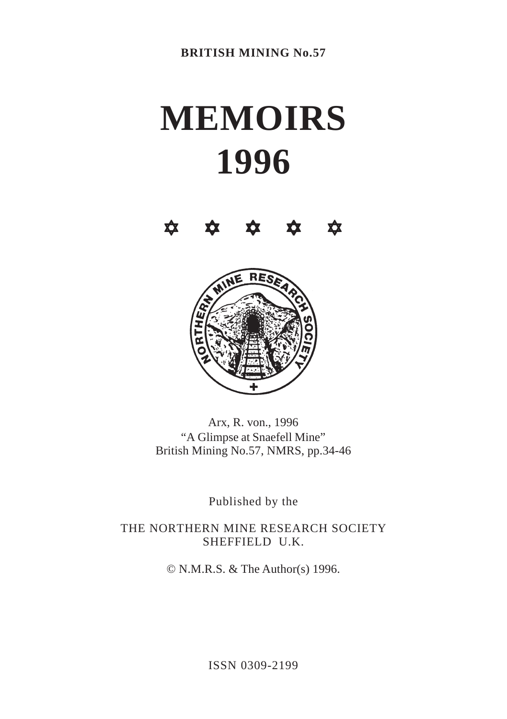# **MEMOIRS 1996**





Arx, R. von., 1996 "A Glimpse at Snaefell Mine" British Mining No.57, NMRS, pp.34-46

Published by the

THE NORTHERN MINE RESEARCH SOCIETY SHEFFIELD U.K.

© N.M.R.S. & The Author(s) 1996.

ISSN 0309-2199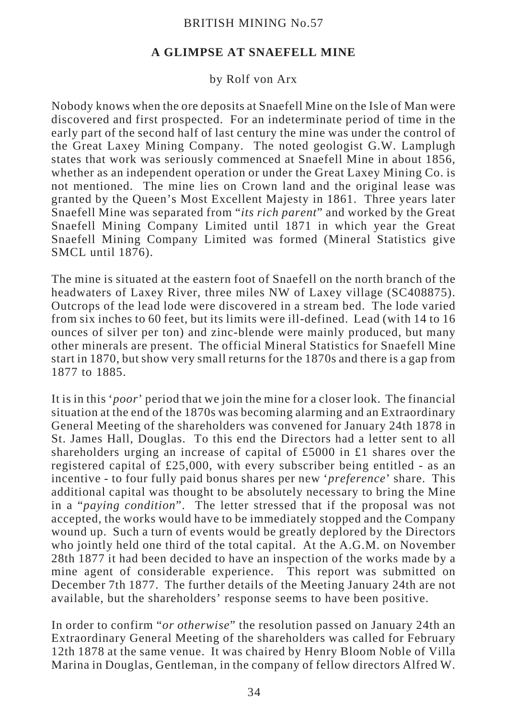# **A GLIMPSE AT SNAEFELL MINE**

## by Rolf von Arx

Nobody knows when the ore deposits at Snaefell Mine on the Isle of Man were discovered and first prospected. For an indeterminate period of time in the early part of the second half of last century the mine was under the control of the Great Laxey Mining Company. The noted geologist G.W. Lamplugh states that work was seriously commenced at Snaefell Mine in about 1856, whether as an independent operation or under the Great Laxey Mining Co. is not mentioned. The mine lies on Crown land and the original lease was granted by the Queen's Most Excellent Majesty in 1861. Three years later Snaefell Mine was separated from "*its rich parent*" and worked by the Great Snaefell Mining Company Limited until 1871 in which year the Great Snaefell Mining Company Limited was formed (Mineral Statistics give SMCL until 1876).

The mine is situated at the eastern foot of Snaefell on the north branch of the headwaters of Laxey River, three miles NW of Laxey village (SC408875). Outcrops of the lead lode were discovered in a stream bed. The lode varied from six inches to 60 feet, but its limits were ill-defined. Lead (with 14 to 16 ounces of silver per ton) and zinc-blende were mainly produced, but many other minerals are present. The official Mineral Statistics for Snaefell Mine start in 1870, but show very small returns for the 1870s and there is a gap from 1877 to 1885.

It is in this '*poor*' period that we join the mine for a closer look. The financial situation at the end of the 1870s was becoming alarming and an Extraordinary General Meeting of the shareholders was convened for January 24th 1878 in St. James Hall, Douglas. To this end the Directors had a letter sent to all shareholders urging an increase of capital of £5000 in £1 shares over the registered capital of £25,000, with every subscriber being entitled - as an incentive - to four fully paid bonus shares per new '*preference*' share. This additional capital was thought to be absolutely necessary to bring the Mine in a "*paying condition*". The letter stressed that if the proposal was not accepted, the works would have to be immediately stopped and the Company wound up. Such a turn of events would be greatly deplored by the Directors who jointly held one third of the total capital. At the A.G.M. on November 28th 1877 it had been decided to have an inspection of the works made by a mine agent of considerable experience. This report was submitted on December 7th 1877. The further details of the Meeting January 24th are not available, but the shareholders' response seems to have been positive.

In order to confirm "*or otherwise*" the resolution passed on January 24th an Extraordinary General Meeting of the shareholders was called for February 12th 1878 at the same venue. It was chaired by Henry Bloom Noble of Villa Marina in Douglas, Gentleman, in the company of fellow directors Alfred W.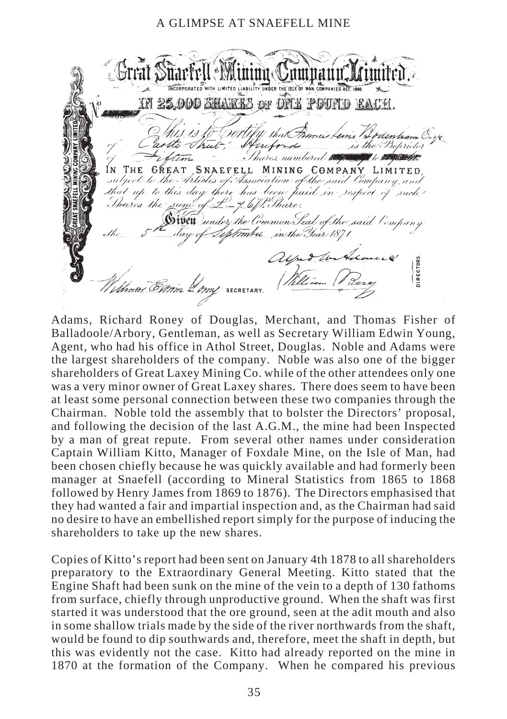. Great Süarfell Minime Jumnann IN 25.000 SHARBS OF DNE POUND EACH that Francis Leins Lodenha astte Thut Hutord is the Proprieto 'm Thares numbered to THE GREAT SNAEFELL MINING COMPANY LIMITED ÍN subject to the Articles of Association of the said Company, a that up to this day there has been paid in respect of such! Thures the sum of £-4. 6/1. Thare. Swett under the Common Seal of the said Company September in the Year 1871 alfud to the **IRECTORS** Annos Emm 2 cm SECRETARY

Adams, Richard Roney of Douglas, Merchant, and Thomas Fisher of Balladoole/Arbory, Gentleman, as well as Secretary William Edwin Young, Agent, who had his office in Athol Street, Douglas. Noble and Adams were the largest shareholders of the company. Noble was also one of the bigger shareholders of Great Laxey Mining Co. while of the other attendees only one was a very minor owner of Great Laxey shares. There does seem to have been at least some personal connection between these two companies through the Chairman. Noble told the assembly that to bolster the Directors' proposal, and following the decision of the last A.G.M., the mine had been Inspected by a man of great repute. From several other names under consideration Captain William Kitto, Manager of Foxdale Mine, on the Isle of Man, had been chosen chiefly because he was quickly available and had formerly been manager at Snaefell (according to Mineral Statistics from 1865 to 1868 followed by Henry James from 1869 to 1876). The Directors emphasised that they had wanted a fair and impartial inspection and, as the Chairman had said no desire to have an embellished report simply for the purpose of inducing the shareholders to take up the new shares.

Copies of Kitto's report had been sent on January 4th 1878 to all shareholders preparatory to the Extraordinary General Meeting. Kitto stated that the Engine Shaft had been sunk on the mine of the vein to a depth of 130 fathoms from surface, chiefly through unproductive ground. When the shaft was first started it was understood that the ore ground, seen at the adit mouth and also in some shallow trials made by the side of the river northwards from the shaft, would be found to dip southwards and, therefore, meet the shaft in depth, but this was evidently not the case. Kitto had already reported on the mine in 1870 at the formation of the Company. When he compared his previous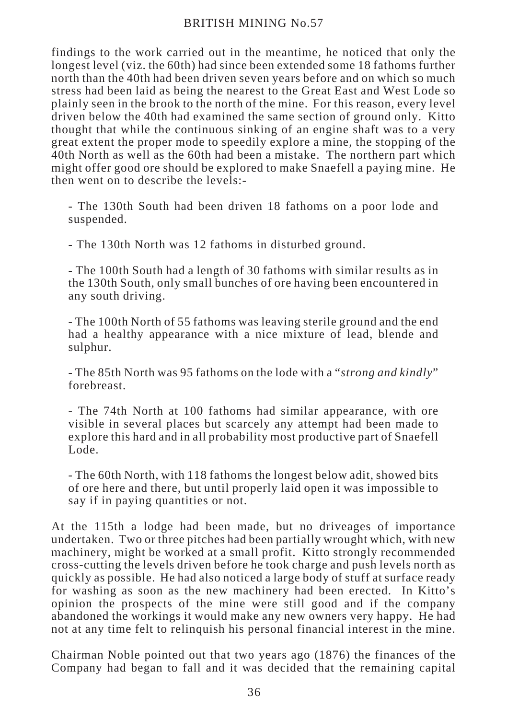findings to the work carried out in the meantime, he noticed that only the longest level (viz. the 60th) had since been extended some 18 fathoms further north than the 40th had been driven seven years before and on which so much stress had been laid as being the nearest to the Great East and West Lode so plainly seen in the brook to the north of the mine. For this reason, every level driven below the 40th had examined the same section of ground only. Kitto thought that while the continuous sinking of an engine shaft was to a very great extent the proper mode to speedily explore a mine, the stopping of the 40th North as well as the 60th had been a mistake. The northern part which might offer good ore should be explored to make Snaefell a paying mine. He then went on to describe the levels:-

- The 130th South had been driven 18 fathoms on a poor lode and suspended.

- The 130th North was 12 fathoms in disturbed ground.

- The 100th South had a length of 30 fathoms with similar results as in the 130th South, only small bunches of ore having been encountered in any south driving.

- The 100th North of 55 fathoms was leaving sterile ground and the end had a healthy appearance with a nice mixture of lead, blende and sulphur.

- The 85th North was 95 fathoms on the lode with a "*strong and kindly*" forebreast.

- The 74th North at 100 fathoms had similar appearance, with ore visible in several places but scarcely any attempt had been made to explore this hard and in all probability most productive part of Snaefell Lode.

- The 60th North, with 118 fathoms the longest below adit, showed bits of ore here and there, but until properly laid open it was impossible to say if in paying quantities or not.

At the 115th a lodge had been made, but no driveages of importance undertaken. Two or three pitches had been partially wrought which, with new machinery, might be worked at a small profit. Kitto strongly recommended cross-cutting the levels driven before he took charge and push levels north as quickly as possible. He had also noticed a large body of stuff at surface ready for washing as soon as the new machinery had been erected. In Kitto's opinion the prospects of the mine were still good and if the company abandoned the workings it would make any new owners very happy. He had not at any time felt to relinquish his personal financial interest in the mine.

Chairman Noble pointed out that two years ago (1876) the finances of the Company had began to fall and it was decided that the remaining capital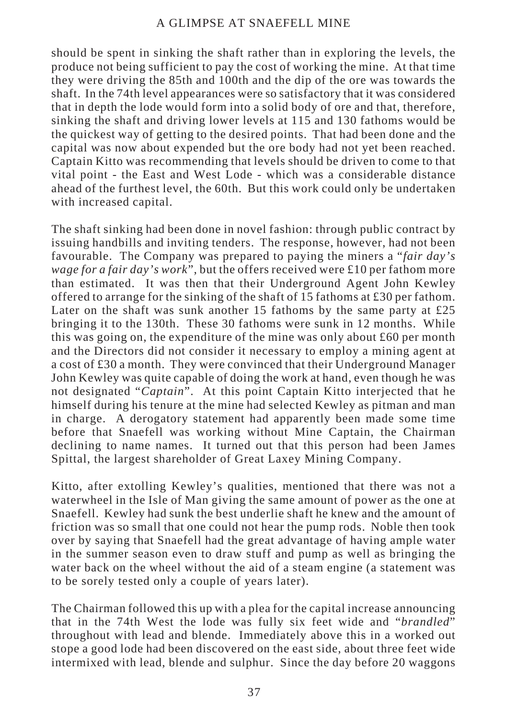should be spent in sinking the shaft rather than in exploring the levels, the produce not being sufficient to pay the cost of working the mine. At that time they were driving the 85th and 100th and the dip of the ore was towards the shaft. In the 74th level appearances were so satisfactory that it was considered that in depth the lode would form into a solid body of ore and that, therefore, sinking the shaft and driving lower levels at 115 and 130 fathoms would be the quickest way of getting to the desired points. That had been done and the capital was now about expended but the ore body had not yet been reached. Captain Kitto was recommending that levels should be driven to come to that vital point - the East and West Lode - which was a considerable distance ahead of the furthest level, the 60th. But this work could only be undertaken with increased capital.

The shaft sinking had been done in novel fashion: through public contract by issuing handbills and inviting tenders. The response, however, had not been favourable. The Company was prepared to paying the miners a "*fair day's wage for a fair day's work*", but the offers received were £10 per fathom more than estimated. It was then that their Underground Agent John Kewley offered to arrange for the sinking of the shaft of 15 fathoms at £30 per fathom. Later on the shaft was sunk another 15 fathoms by the same party at £25 bringing it to the 130th. These 30 fathoms were sunk in 12 months. While this was going on, the expenditure of the mine was only about  $\text{\pounds}60$  per month and the Directors did not consider it necessary to employ a mining agent at a cost of £30 a month. They were convinced that their Underground Manager John Kewley was quite capable of doing the work at hand, even though he was not designated "*Captain*". At this point Captain Kitto interjected that he himself during his tenure at the mine had selected Kewley as pitman and man in charge. A derogatory statement had apparently been made some time before that Snaefell was working without Mine Captain, the Chairman declining to name names. It turned out that this person had been James Spittal, the largest shareholder of Great Laxey Mining Company.

Kitto, after extolling Kewley's qualities, mentioned that there was not a waterwheel in the Isle of Man giving the same amount of power as the one at Snaefell. Kewley had sunk the best underlie shaft he knew and the amount of friction was so small that one could not hear the pump rods. Noble then took over by saying that Snaefell had the great advantage of having ample water in the summer season even to draw stuff and pump as well as bringing the water back on the wheel without the aid of a steam engine (a statement was to be sorely tested only a couple of years later).

The Chairman followed this up with a plea for the capital increase announcing that in the 74th West the lode was fully six feet wide and "*brandled*" throughout with lead and blende. Immediately above this in a worked out stope a good lode had been discovered on the east side, about three feet wide intermixed with lead, blende and sulphur. Since the day before 20 waggons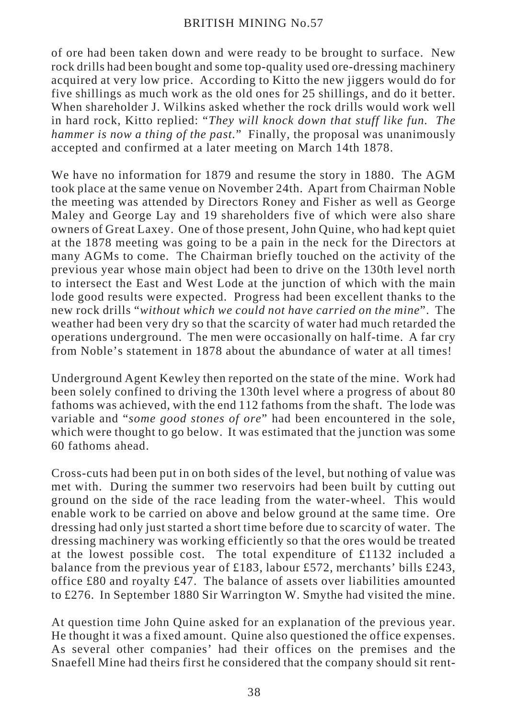of ore had been taken down and were ready to be brought to surface. New rock drills had been bought and some top-quality used ore-dressing machinery acquired at very low price. According to Kitto the new jiggers would do for five shillings as much work as the old ones for 25 shillings, and do it better. When shareholder J. Wilkins asked whether the rock drills would work well in hard rock, Kitto replied: "*They will knock down that stuff like fun. The hammer is now a thing of the past.*" Finally, the proposal was unanimously accepted and confirmed at a later meeting on March 14th 1878.

We have no information for 1879 and resume the story in 1880. The AGM took place at the same venue on November 24th. Apart from Chairman Noble the meeting was attended by Directors Roney and Fisher as well as George Maley and George Lay and 19 shareholders five of which were also share owners of Great Laxey. One of those present, John Quine, who had kept quiet at the 1878 meeting was going to be a pain in the neck for the Directors at many AGMs to come. The Chairman briefly touched on the activity of the previous year whose main object had been to drive on the 130th level north to intersect the East and West Lode at the junction of which with the main lode good results were expected. Progress had been excellent thanks to the new rock drills "*without which we could not have carried on the mine*". The weather had been very dry so that the scarcity of water had much retarded the operations underground. The men were occasionally on half-time. A far cry from Noble's statement in 1878 about the abundance of water at all times!

Underground Agent Kewley then reported on the state of the mine. Work had been solely confined to driving the 130th level where a progress of about 80 fathoms was achieved, with the end 112 fathoms from the shaft. The lode was variable and "*some good stones of ore*" had been encountered in the sole, which were thought to go below. It was estimated that the junction was some 60 fathoms ahead.

Cross-cuts had been put in on both sides of the level, but nothing of value was met with. During the summer two reservoirs had been built by cutting out ground on the side of the race leading from the water-wheel. This would enable work to be carried on above and below ground at the same time. Ore dressing had only just started a short time before due to scarcity of water. The dressing machinery was working efficiently so that the ores would be treated at the lowest possible cost. The total expenditure of £1132 included a balance from the previous year of £183, labour £572, merchants' bills £243, office £80 and royalty £47. The balance of assets over liabilities amounted to £276. In September 1880 Sir Warrington W. Smythe had visited the mine.

At question time John Quine asked for an explanation of the previous year. He thought it was a fixed amount. Quine also questioned the office expenses. As several other companies' had their offices on the premises and the Snaefell Mine had theirs first he considered that the company should sit rent-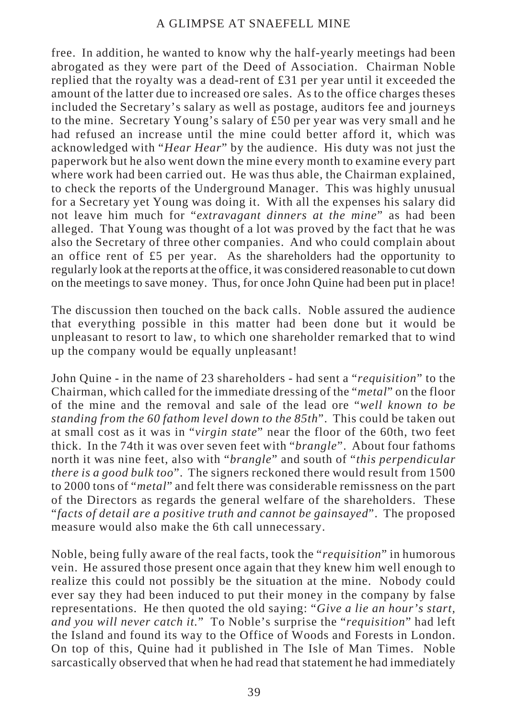free. In addition, he wanted to know why the half-yearly meetings had been abrogated as they were part of the Deed of Association. Chairman Noble replied that the royalty was a dead-rent of £31 per year until it exceeded the amount of the latter due to increased ore sales. As to the office charges theses included the Secretary's salary as well as postage, auditors fee and journeys to the mine. Secretary Young's salary of £50 per year was very small and he had refused an increase until the mine could better afford it, which was acknowledged with "*Hear Hear*" by the audience. His duty was not just the paperwork but he also went down the mine every month to examine every part where work had been carried out. He was thus able, the Chairman explained, to check the reports of the Underground Manager. This was highly unusual for a Secretary yet Young was doing it. With all the expenses his salary did not leave him much for "*extravagant dinners at the mine*" as had been alleged. That Young was thought of a lot was proved by the fact that he was also the Secretary of three other companies. And who could complain about an office rent of £5 per year. As the shareholders had the opportunity to regularly look at the reports at the office, it was considered reasonable to cut down on the meetings to save money. Thus, for once John Quine had been put in place!

The discussion then touched on the back calls. Noble assured the audience that everything possible in this matter had been done but it would be unpleasant to resort to law, to which one shareholder remarked that to wind up the company would be equally unpleasant!

John Quine - in the name of 23 shareholders - had sent a "*requisition*" to the Chairman, which called for the immediate dressing of the "*metal*" on the floor of the mine and the removal and sale of the lead ore "*well known to be standing from the 60 fathom level down to the 85th*". This could be taken out at small cost as it was in "*virgin state*" near the floor of the 60th, two feet thick. In the 74th it was over seven feet with "*brangle*". About four fathoms north it was nine feet, also with "*brangle*" and south of "*this perpendicular there is a good bulk too*". The signers reckoned there would result from 1500 to 2000 tons of "*metal*" and felt there was considerable remissness on the part of the Directors as regards the general welfare of the shareholders. These "*facts of detail are a positive truth and cannot be gainsayed*". The proposed measure would also make the 6th call unnecessary.

Noble, being fully aware of the real facts, took the "*requisition*" in humorous vein. He assured those present once again that they knew him well enough to realize this could not possibly be the situation at the mine. Nobody could ever say they had been induced to put their money in the company by false representations. He then quoted the old saying: "*Give a lie an hour's start, and you will never catch it.*" To Noble's surprise the "*requisition*" had left the Island and found its way to the Office of Woods and Forests in London. On top of this, Quine had it published in The Isle of Man Times. Noble sarcastically observed that when he had read that statement he had immediately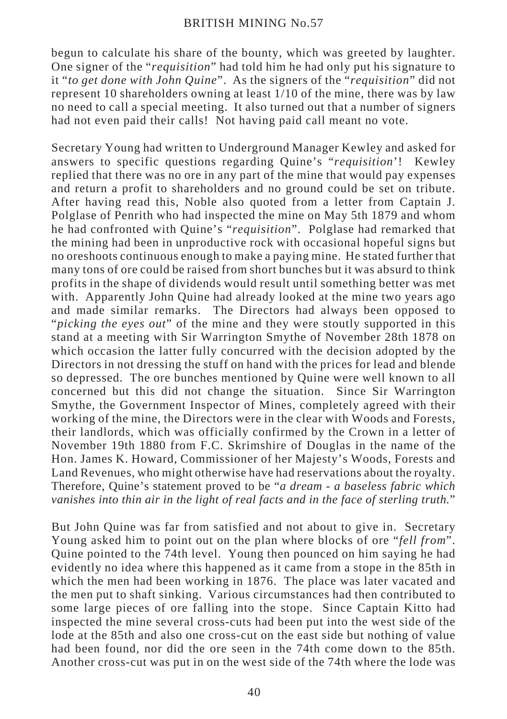begun to calculate his share of the bounty, which was greeted by laughter. One signer of the "*requisition*" had told him he had only put his signature to it "*to get done with John Quine*". As the signers of the "*requisition*" did not represent 10 shareholders owning at least 1/10 of the mine, there was by law no need to call a special meeting. It also turned out that a number of signers had not even paid their calls! Not having paid call meant no vote.

Secretary Young had written to Underground Manager Kewley and asked for answers to specific questions regarding Quine's "*requisition*'! Kewley replied that there was no ore in any part of the mine that would pay expenses and return a profit to shareholders and no ground could be set on tribute. After having read this, Noble also quoted from a letter from Captain J. Polglase of Penrith who had inspected the mine on May 5th 1879 and whom he had confronted with Quine's "*requisition*". Polglase had remarked that the mining had been in unproductive rock with occasional hopeful signs but no oreshoots continuous enough to make a paying mine. He stated further that many tons of ore could be raised from short bunches but it was absurd to think profits in the shape of dividends would result until something better was met with. Apparently John Quine had already looked at the mine two years ago and made similar remarks. The Directors had always been opposed to "*picking the eyes out*" of the mine and they were stoutly supported in this stand at a meeting with Sir Warrington Smythe of November 28th 1878 on which occasion the latter fully concurred with the decision adopted by the Directors in not dressing the stuff on hand with the prices for lead and blende so depressed. The ore bunches mentioned by Quine were well known to all concerned but this did not change the situation. Since Sir Warrington Smythe, the Government Inspector of Mines, completely agreed with their working of the mine, the Directors were in the clear with Woods and Forests, their landlords, which was officially confirmed by the Crown in a letter of November 19th 1880 from F.C. Skrimshire of Douglas in the name of the Hon. James K. Howard, Commissioner of her Majesty's Woods, Forests and Land Revenues, who might otherwise have had reservations about the royalty. Therefore, Quine's statement proved to be "*a dream - a baseless fabric which vanishes into thin air in the light of real facts and in the face of sterling truth.*"

But John Quine was far from satisfied and not about to give in. Secretary Young asked him to point out on the plan where blocks of ore "*fell from*". Quine pointed to the 74th level. Young then pounced on him saying he had evidently no idea where this happened as it came from a stope in the 85th in which the men had been working in 1876. The place was later vacated and the men put to shaft sinking. Various circumstances had then contributed to some large pieces of ore falling into the stope. Since Captain Kitto had inspected the mine several cross-cuts had been put into the west side of the lode at the 85th and also one cross-cut on the east side but nothing of value had been found, nor did the ore seen in the 74th come down to the 85th. Another cross-cut was put in on the west side of the 74th where the lode was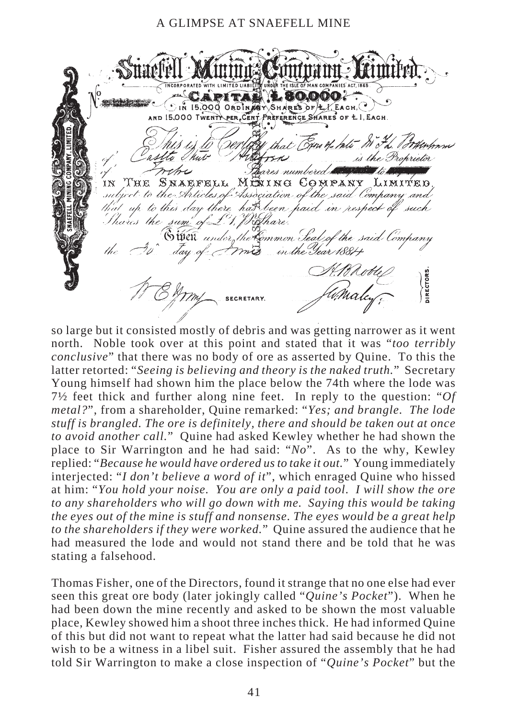ITAL L 80.000 **SECRET DESCRIPTION** SIN 15,000 ORDINGEY SHARES OF LY EACH. AND 15.000 TWENTY PER CENT PREFERENCE SHARES OF L. LACH asl 'hutis the Proprietor wehe ares numbered **s** THE SNAEFELL MEIING COMPANY ΊN Limiýro subject to the Articles of Association of the said Company and that up to this day there hat been haid in respect Thares the sum of 6 weit *and* the Common Seal of the said Company in the Year 188/+ **DIRECTOR** 

so large but it consisted mostly of debris and was getting narrower as it went north. Noble took over at this point and stated that it was "*too terribly conclusive*" that there was no body of ore as asserted by Quine. To this the latter retorted: "*Seeing is believing and theory is the naked truth.*" Secretary Young himself had shown him the place below the 74th where the lode was 7½ feet thick and further along nine feet. In reply to the question: "*Of metal?*", from a shareholder, Quine remarked: "*Yes; and brangle. The lode stuff is brangled. The ore is definitely, there and should be taken out at once to avoid another call.*" Quine had asked Kewley whether he had shown the place to Sir Warrington and he had said: "*No*". As to the why, Kewley replied: "*Because he would have ordered us to take it out.*" Young immediately interjected: "*I don't believe a word of it*", which enraged Quine who hissed at him: "*You hold your noise. You are only a paid tool. I will show the ore to any shareholders who will go down with me. Saying this would be taking the eyes out of the mine is stuff and nonsense. The eyes would be a great help to the shareholders if they were worked.*" Quine assured the audience that he had measured the lode and would not stand there and be told that he was stating a falsehood.

Thomas Fisher, one of the Directors, found it strange that no one else had ever seen this great ore body (later jokingly called "*Quine's Pocket*"). When he had been down the mine recently and asked to be shown the most valuable place, Kewley showed him a shoot three inches thick. He had informed Quine of this but did not want to repeat what the latter had said because he did not wish to be a witness in a libel suit. Fisher assured the assembly that he had told Sir Warrington to make a close inspection of "*Quine's Pocket*" but the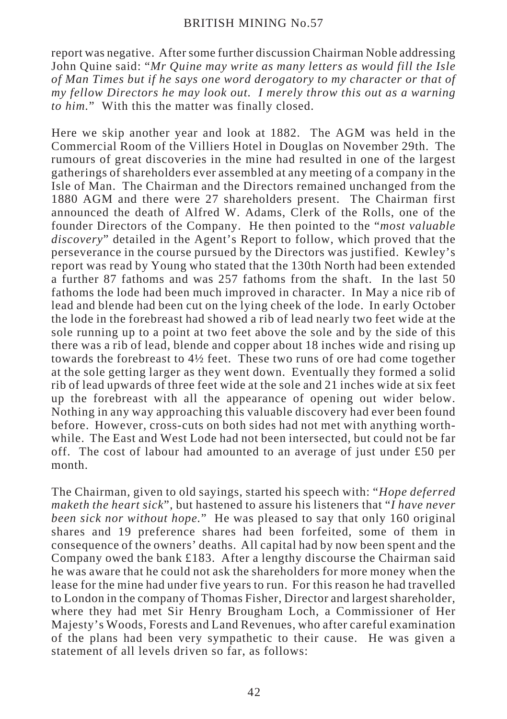report was negative. After some further discussion Chairman Noble addressing John Quine said: "*Mr Quine may write as many letters as would fill the Isle of Man Times but if he says one word derogatory to my character or that of my fellow Directors he may look out. I merely throw this out as a warning to him.*" With this the matter was finally closed.

Here we skip another year and look at 1882. The AGM was held in the Commercial Room of the Villiers Hotel in Douglas on November 29th. The rumours of great discoveries in the mine had resulted in one of the largest gatherings of shareholders ever assembled at any meeting of a company in the Isle of Man. The Chairman and the Directors remained unchanged from the 1880 AGM and there were 27 shareholders present. The Chairman first announced the death of Alfred W. Adams, Clerk of the Rolls, one of the founder Directors of the Company. He then pointed to the "*most valuable discovery*" detailed in the Agent's Report to follow, which proved that the perseverance in the course pursued by the Directors was justified. Kewley's report was read by Young who stated that the 130th North had been extended a further 87 fathoms and was 257 fathoms from the shaft. In the last 50 fathoms the lode had been much improved in character. In May a nice rib of lead and blende had been cut on the lying cheek of the lode. In early October the lode in the forebreast had showed a rib of lead nearly two feet wide at the sole running up to a point at two feet above the sole and by the side of this there was a rib of lead, blende and copper about 18 inches wide and rising up towards the forebreast to 4½ feet. These two runs of ore had come together at the sole getting larger as they went down. Eventually they formed a solid rib of lead upwards of three feet wide at the sole and 21 inches wide at six feet up the forebreast with all the appearance of opening out wider below. Nothing in any way approaching this valuable discovery had ever been found before. However, cross-cuts on both sides had not met with anything worthwhile. The East and West Lode had not been intersected, but could not be far off. The cost of labour had amounted to an average of just under £50 per month.

The Chairman, given to old sayings, started his speech with: "*Hope deferred maketh the heart sick*", but hastened to assure his listeners that "*I have never been sick nor without hope.*" He was pleased to say that only 160 original shares and 19 preference shares had been forfeited, some of them in consequence of the owners' deaths. All capital had by now been spent and the Company owed the bank £183. After a lengthy discourse the Chairman said he was aware that he could not ask the shareholders for more money when the lease for the mine had under five years to run. For this reason he had travelled to London in the company of Thomas Fisher, Director and largest shareholder, where they had met Sir Henry Brougham Loch, a Commissioner of Her Majesty's Woods, Forests and Land Revenues, who after careful examination of the plans had been very sympathetic to their cause. He was given a statement of all levels driven so far, as follows: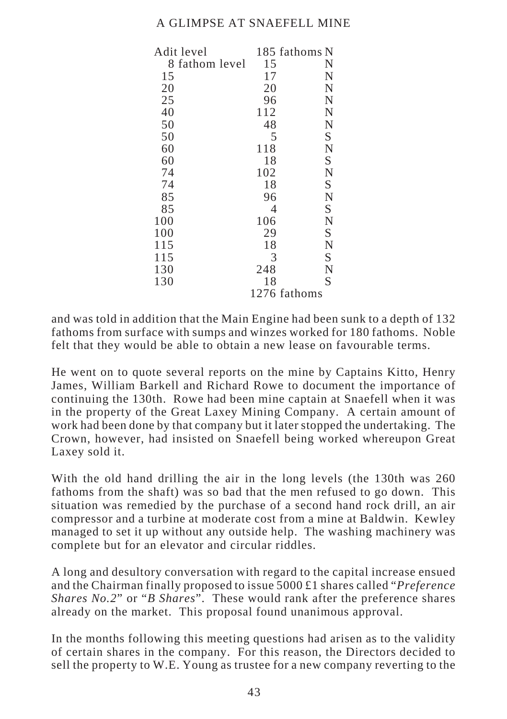| Adit level     |     | 185 fathoms N |
|----------------|-----|---------------|
| 8 fathom level | 15  | N             |
| 15             | 17  | N             |
| 20             | 20  | N             |
| 25             | 96  | N             |
| 40             | 112 | N             |
| 50             | 48  | N             |
| 50             | 5   | S             |
| 60             | 118 | N             |
| 60             | 18  | S             |
| 74             | 102 | N             |
| 74             | 18  | S             |
| 85             | 96  | N             |
| 85             | 4   | S             |
| 100            | 106 | N             |
| 100            | 29  | S             |
| 115            | 18  | N             |
| 115            | 3   | S             |
| 130            | 248 | N             |
| 130            | 18  | S             |
|                |     | 1276 fathoms  |

and was told in addition that the Main Engine had been sunk to a depth of 132 fathoms from surface with sumps and winzes worked for 180 fathoms. Noble felt that they would be able to obtain a new lease on favourable terms.

He went on to quote several reports on the mine by Captains Kitto, Henry James, William Barkell and Richard Rowe to document the importance of continuing the 130th. Rowe had been mine captain at Snaefell when it was in the property of the Great Laxey Mining Company. A certain amount of work had been done by that company but it later stopped the undertaking. The Crown, however, had insisted on Snaefell being worked whereupon Great Laxey sold it.

With the old hand drilling the air in the long levels (the 130th was 260 fathoms from the shaft) was so bad that the men refused to go down. This situation was remedied by the purchase of a second hand rock drill, an air compressor and a turbine at moderate cost from a mine at Baldwin. Kewley managed to set it up without any outside help. The washing machinery was complete but for an elevator and circular riddles.

A long and desultory conversation with regard to the capital increase ensued and the Chairman finally proposed to issue 5000 £1 shares called "*Preference Shares No.2*" or "*B Shares*". These would rank after the preference shares already on the market. This proposal found unanimous approval.

In the months following this meeting questions had arisen as to the validity of certain shares in the company. For this reason, the Directors decided to sell the property to W.E. Young as trustee for a new company reverting to the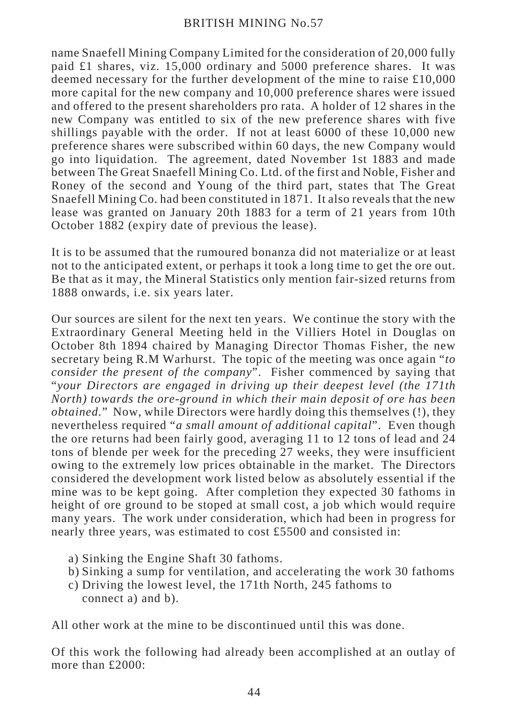name Snaefell Mining Company Limited for the consideration of 20,000 fully paid £1 shares, viz. 15,000 ordinary and 5000 preference shares. It was deemed necessary for the further development of the mine to raise £10,000 more capital for the new company and 10,000 preference shares were issued and offered to the present shareholders pro rata. A holder of 12 shares in the new Company was entitled to six of the new preference shares with five shillings payable with the order. If not at least 6000 of these 10,000 new preference shares were subscribed within 60 days, the new Company would go into liquidation. The agreement, dated November 1st 1883 and made between The Great Snaefell Mining Co. Ltd. of the first and Noble, Fisher and Roney of the second and Young of the third part, states that The Great Snaefell Mining Co. had been constituted in 1871. It also reveals that the new lease was granted on January 20th 1883 for a term of 21 years from 10th October 1882 (expiry date of previous the lease).

It is to be assumed that the rumoured bonanza did not materialize or at least not to the anticipated extent, or perhaps it took a long time to get the ore out. Be that as it may, the Mineral Statistics only mention fair-sized returns from 1888 onwards, i.e. six years later.

Our sources are silent for the next ten years. We continue the story with the Extraordinary General Meeting held in the Villiers Hotel in Douglas on October 8th 1894 chaired by Managing Director Thomas Fisher, the new secretary being R.M Warhurst. The topic of the meeting was once again "*to consider the present of the company*". Fisher commenced by saying that "*your Directors are engaged in driving up their deepest level (the 171th North) towards the ore-ground in which their main deposit of ore has been obtained.*" Now, while Directors were hardly doing this themselves (!), they nevertheless required "*a small amount of additional capital*". Even though the ore returns had been fairly good, averaging 11 to 12 tons of lead and 24 tons of blende per week for the preceding 27 weeks, they were insufficient owing to the extremely low prices obtainable in the market. The Directors considered the development work listed below as absolutely essential if the mine was to be kept going. After completion they expected 30 fathoms in height of ore ground to be stoped at small cost, a job which would require many years. The work under consideration, which had been in progress for nearly three years, was estimated to cost £5500 and consisted in:

- a) Sinking the Engine Shaft 30 fathoms.
- b) Sinking a sump for ventilation, and accelerating the work 30 fathoms
- c) Driving the lowest level, the 171th North, 245 fathoms to connect a) and b).

All other work at the mine to be discontinued until this was done.

Of this work the following had already been accomplished at an outlay of more than £2000: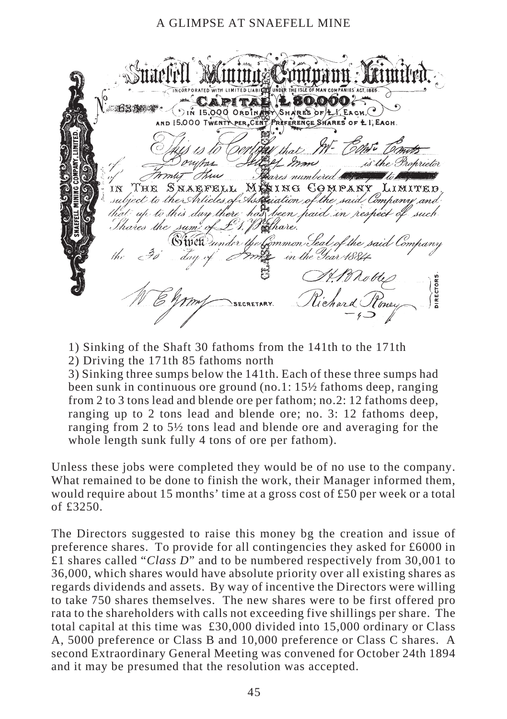$0.65$ Šн. RES OF  $\sqrt{E}$  EA CH **PREFERENCE SHARES OF** I. EACH ombar  $2 - 17$ thu بر – SNAEFELL ΊN T`H`Fî **MEXTNG** COMPANY subject to the Articles of Association of the that up to this day there has been paid in respect Thares the sum' of roshare. fomm*on.Seal of the said* Swett under in the Year 11884 **JIRECTOR** 

1) Sinking of the Shaft 30 fathoms from the 141th to the 171th 2) Driving the 171th 85 fathoms north

3) Sinking three sumps below the 141th. Each of these three sumps had been sunk in continuous ore ground (no.1: 15½ fathoms deep, ranging from 2 to 3 tons lead and blende ore per fathom; no.2: 12 fathoms deep, ranging up to 2 tons lead and blende ore; no. 3: 12 fathoms deep, ranging from 2 to 5½ tons lead and blende ore and averaging for the whole length sunk fully 4 tons of ore per fathom).

Unless these jobs were completed they would be of no use to the company. What remained to be done to finish the work, their Manager informed them, would require about 15 months' time at a gross cost of £50 per week or a total of £3250.

The Directors suggested to raise this money bg the creation and issue of preference shares. To provide for all contingencies they asked for £6000 in £1 shares called "*Class D*" and to be numbered respectively from 30,001 to 36,000, which shares would have absolute priority over all existing shares as regards dividends and assets. By way of incentive the Directors were willing to take 750 shares themselves. The new shares were to be first offered pro rata to the shareholders with calls not exceeding five shillings per share. The total capital at this time was £30,000 divided into 15,000 ordinary or Class A, 5000 preference or Class B and 10,000 preference or Class C shares. A second Extraordinary General Meeting was convened for October 24th 1894 and it may be presumed that the resolution was accepted.